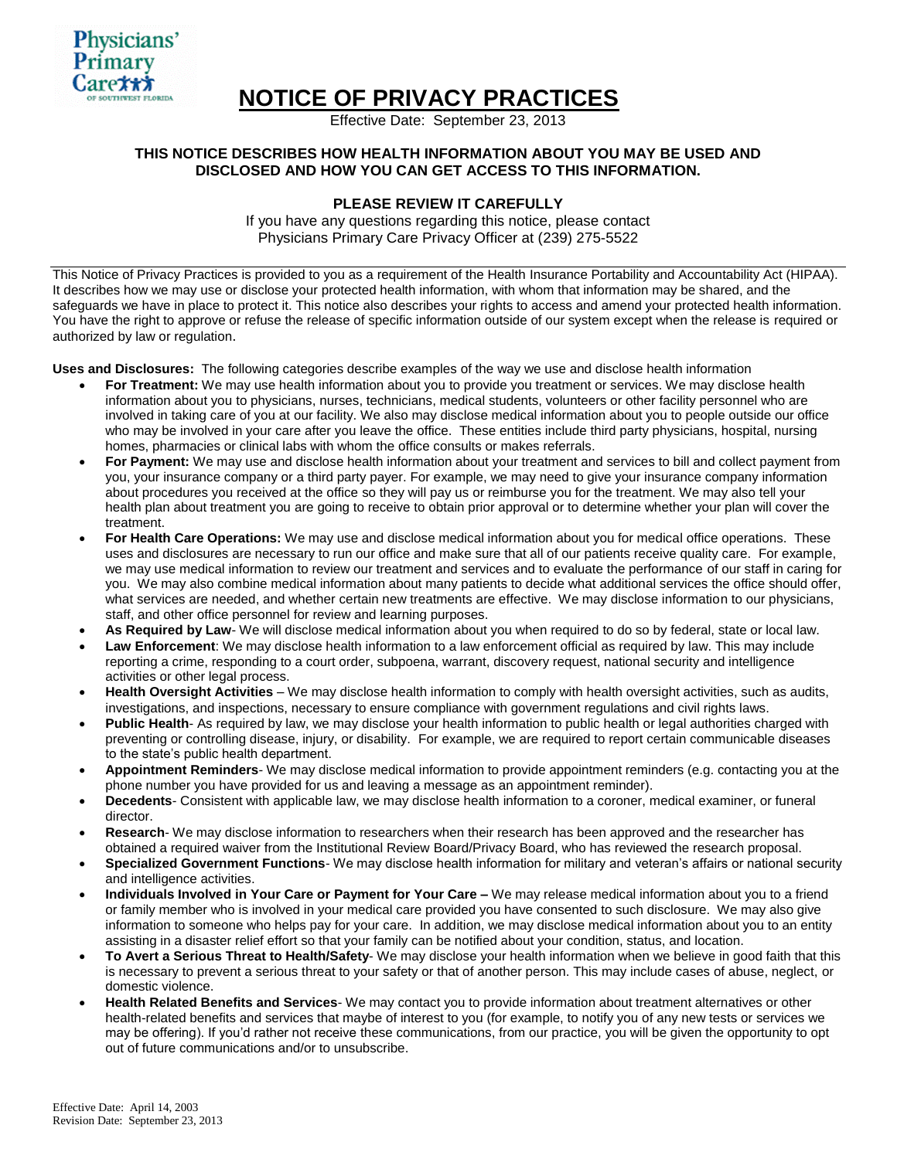

# **NOTICE OF PRIVACY PRACTICES**

Effective Date: September 23, 2013

## **THIS NOTICE DESCRIBES HOW HEALTH INFORMATION ABOUT YOU MAY BE USED AND DISCLOSED AND HOW YOU CAN GET ACCESS TO THIS INFORMATION.**

# **PLEASE REVIEW IT CAREFULLY**

If you have any questions regarding this notice, please contact Physicians Primary Care Privacy Officer at (239) 275-5522

This Notice of Privacy Practices is provided to you as a requirement of the Health Insurance Portability and Accountability Act (HIPAA). It describes how we may use or disclose your protected health information, with whom that information may be shared, and the safeguards we have in place to protect it. This notice also describes your rights to access and amend your protected health information. You have the right to approve or refuse the release of specific information outside of our system except when the release is required or authorized by law or regulation.

**Uses and Disclosures:** The following categories describe examples of the way we use and disclose health information

- **For Treatment:** We may use health information about you to provide you treatment or services. We may disclose health information about you to physicians, nurses, technicians, medical students, volunteers or other facility personnel who are involved in taking care of you at our facility. We also may disclose medical information about you to people outside our office who may be involved in your care after you leave the office. These entities include third party physicians, hospital, nursing homes, pharmacies or clinical labs with whom the office consults or makes referrals.
- **For Payment:** We may use and disclose health information about your treatment and services to bill and collect payment from you, your insurance company or a third party payer. For example, we may need to give your insurance company information about procedures you received at the office so they will pay us or reimburse you for the treatment. We may also tell your health plan about treatment you are going to receive to obtain prior approval or to determine whether your plan will cover the treatment.
- **For Health Care Operations:** We may use and disclose medical information about you for medical office operations. These uses and disclosures are necessary to run our office and make sure that all of our patients receive quality care. For example, we may use medical information to review our treatment and services and to evaluate the performance of our staff in caring for you. We may also combine medical information about many patients to decide what additional services the office should offer, what services are needed, and whether certain new treatments are effective. We may disclose information to our physicians, staff, and other office personnel for review and learning purposes.
- **As Required by Law** We will disclose medical information about you when required to do so by federal, state or local law.
- **Law Enforcement**: We may disclose health information to a law enforcement official as required by law. This may include reporting a crime, responding to a court order, subpoena, warrant, discovery request, national security and intelligence activities or other legal process.
- **Health Oversight Activities** We may disclose health information to comply with health oversight activities, such as audits, investigations, and inspections, necessary to ensure compliance with government regulations and civil rights laws.
- **Public Health** As required by law, we may disclose your health information to public health or legal authorities charged with preventing or controlling disease, injury, or disability. For example, we are required to report certain communicable diseases to the state's public health department.
- **Appointment Reminders** We may disclose medical information to provide appointment reminders (e.g. contacting you at the phone number you have provided for us and leaving a message as an appointment reminder).
- **Decedents** Consistent with applicable law, we may disclose health information to a coroner, medical examiner, or funeral director.
- **Research** We may disclose information to researchers when their research has been approved and the researcher has obtained a required waiver from the Institutional Review Board/Privacy Board, who has reviewed the research proposal.
- **Specialized Government Functions** We may disclose health information for military and veteran's affairs or national security and intelligence activities.
- **Individuals Involved in Your Care or Payment for Your Care –** We may release medical information about you to a friend or family member who is involved in your medical care provided you have consented to such disclosure. We may also give information to someone who helps pay for your care. In addition, we may disclose medical information about you to an entity assisting in a disaster relief effort so that your family can be notified about your condition, status, and location.
- **To Avert a Serious Threat to Health/Safety** We may disclose your health information when we believe in good faith that this is necessary to prevent a serious threat to your safety or that of another person. This may include cases of abuse, neglect, or domestic violence.
- **Health Related Benefits and Services** We may contact you to provide information about treatment alternatives or other health-related benefits and services that maybe of interest to you (for example, to notify you of any new tests or services we may be offering). If you'd rather not receive these communications, from our practice, you will be given the opportunity to opt out of future communications and/or to unsubscribe.